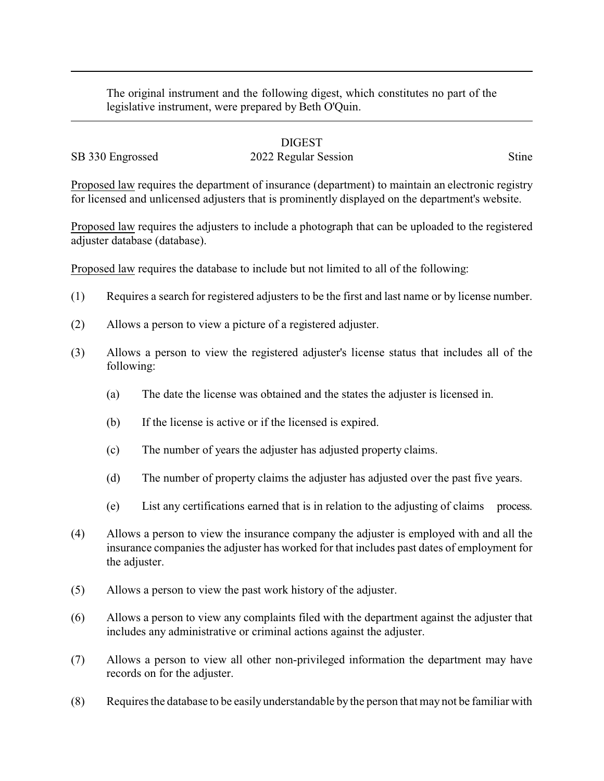The original instrument and the following digest, which constitutes no part of the legislative instrument, were prepared by Beth O'Quin.

## DIGEST

## SB 330 Engrossed 2022 Regular Session Stine

Proposed law requires the department of insurance (department) to maintain an electronic registry for licensed and unlicensed adjusters that is prominently displayed on the department's website.

Proposed law requires the adjusters to include a photograph that can be uploaded to the registered adjuster database (database).

Proposed law requires the database to include but not limited to all of the following:

- (1) Requires a search for registered adjusters to be the first and last name or by license number.
- (2) Allows a person to view a picture of a registered adjuster.
- (3) Allows a person to view the registered adjuster's license status that includes all of the following:
	- (a) The date the license was obtained and the states the adjuster is licensed in.
	- (b) If the license is active or if the licensed is expired.
	- (c) The number of years the adjuster has adjusted property claims.
	- (d) The number of property claims the adjuster has adjusted over the past five years.
	- (e) List any certifications earned that is in relation to the adjusting of claims process.
- (4) Allows a person to view the insurance company the adjuster is employed with and all the insurance companies the adjuster has worked for that includes past dates of employment for the adjuster.
- (5) Allows a person to view the past work history of the adjuster.
- (6) Allows a person to view any complaints filed with the department against the adjuster that includes any administrative or criminal actions against the adjuster.
- (7) Allows a person to view all other non-privileged information the department may have records on for the adjuster.
- (8) Requires the database to be easily understandable by the person that may not be familiar with